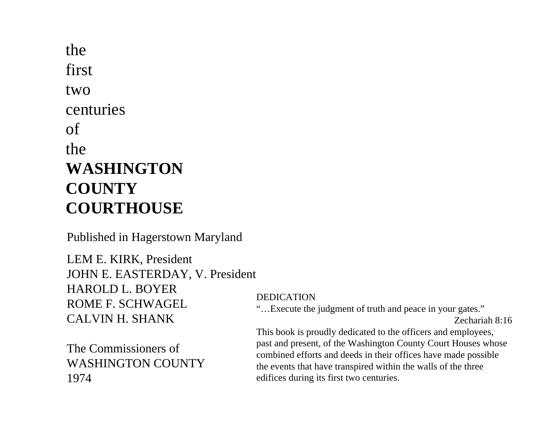thefirsttwocenturiesofthe**WASHINGTON COUNTYCOURTHOUSE**

Published in Hagerstown Maryland

LEM E. KIRK, President JOHN E. EASTERDAY, V. President HAROLD L. BOYERROME F. SCHWAGELCALVIN H. SHANK

The Commissioners of WASHINGTON COUNTY1974

## DEDICATION

"…Execute the judgment of truth and peace in your gates."

Zechariah 8:16

This book is proudly dedicated to the officers and employees, past and present, of the Washington County Court Houses whose combined efforts and deeds in their offices have made possible the events that have transpired within the walls of the three edifices during its first two centuries.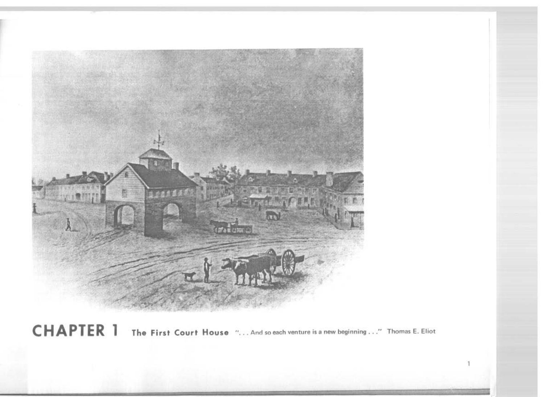

CHAPTER 1 The First Court House "... And so each venture is a new beginning ..." Thomas E. Eliot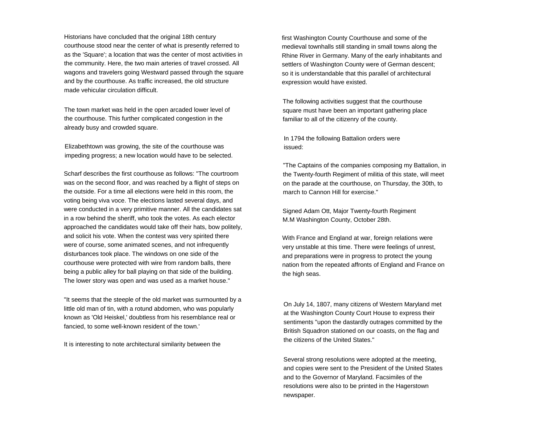Historians have concluded that the original 18th century courthouse stood near the center of what is presently referred to as the 'Square'; a location that was the center of most activities in the community. Here, the two main arteries of travel crossed. All wagons and travelers going Westward passed through the square and by the courthouse. As traffic increased, the old structure made vehicular circulation difficult.

The town market was held in the open arcaded lower level of the courthouse. This further complicated congestion in the already busy and crowded square.

Elizabethtown was growing, the site of the courthouse was impeding progress; a new location would have to be selected.

Scharf describes the first courthouse as follows: "The courtroomwas on the second floor, and was reached by a flight of steps on the outside. For a time all elections were held in this room, the voting being viva voce. The elections lasted several days, and were conducted in a very primitive manner. All the candidates sat in a row behind the sheriff, who took the votes. As each elector approached the candidates would take off their hats, bow politely, and solicit his vote. When the contest was very spirited there were of course, some animated scenes, and not infrequently disturbances took place. The windows on one side of the courthouse were protected with wire from random balls, there being a public alley for ball playing on that side of the building. The lower story was open and was used as a market house."

"It seems that the steeple of the old market was surmounted by a little old man of tin, with a rotund abdomen, who was popularly known as 'Old Heiskel,' doubtless from his resemblance real or fancied, to some well-known resident of the town.'

It is interesting to note architectural similarity between the

first Washington County Courthouse and some of the medieval townhalls still standing in small towns along the Rhine River in Germany. Many of the early inhabitants and settlers of Washington County were of German descent; so it is understandable that this parallel of architectural expression would have existed.

The following activities suggest that the courthouse square must have been an important gathering place familiar to all of the citizenry of the county.

In 1794 the following Battalion orders were issued:

"The Captains of the companies composing my Battalion, in the Twenty-fourth Regiment of militia of this state, will meet on the parade at the courthouse, on Thursday, the 30th, to march to Cannon Hill for exercise."

Signed Adam Ott, Major Twenty-fourth Regiment M.M Washington County, October 28th.

With France and England at war, foreign relations were very unstable at this time. There were feelings of unrest, and preparations were in progress to protect the young nation from the repeated affronts of England and France on the high seas.

On July 14, 1807, many citizens of Western Maryland met at the Washington County Court House to express their sentiments "upon the dastardly outrages committed by the British Squadron stationed on our coasts, on the flag and the citizens of the United States."

Several strong resolutions were adopted at the meeting, and copies were sent to the President of the United States and to the Governor of Maryland. Facsimiles of the resolutions were also to be printed in the Hagerstown newspaper.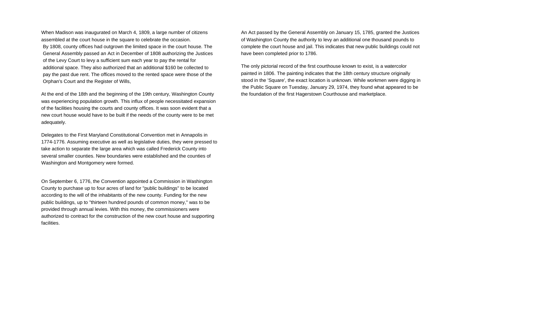When Madison was inaugurated on March 4, 1809, a large number of citizens assembled at the court house in the square to celebrate the occasion. By 1808, county offices had outgrown the limited space in the court house. The General Assembly passed an Act in December of 1808 authorizing the Justices of the Levy Court to levy a sufficient sum each year to pay the rental for additional space. They also authorized that an additional \$160 be collected to pay the past due rent. The offices moved to the rented space were those of the Orphan's Court and the Register of Wills,

At the end of the 18th and the beginning of the 19th century, Washington County was experiencing population growth. This influx of people necessitated expansion of the facilities housing the courts and county offices. It was soon evident that a new court house would have to be built if the needs of the county were to be met adequately.

Delegates to the First Maryland Constitutional Convention met in Annapolis in 1774-1776. Assuming executive as well as legislative duties, they were pressed to take action to separate the large area which was called Frederick County into several smaller counties. New boundaries were established and the counties of Washington and Montgomery were formed.

On September 6, 1776, the Convention appointed a Commission in Washington County to purchase up to four acres of land for "public buildings" to be located according to the will of the inhabitants of the new county. Funding for the new public buildings, up to "thirteen hundred pounds of common money," was to be provided through annual levies. With this money, the commissioners were authorized to contract for the construction of the new court house and supporting facilities.

An Act passed by the General Assembly on January 15, 1785, granted the Justices of Washington County the authority to levy an additional one thousand pounds to complete the court house and jail. This indicates that new public buildings could not have been completed prior to 1786.

The only pictorial record of the first courthouse known to exist, is a watercolor painted in 1806. The painting indicates that the 18th century structure originally stood in the 'Square', the exact location is unknown. While workmen were digging in the Public Square on Tuesday, January 29, 1974, they found what appeared to be the foundation of the first Hagerstown Courthouse and marketplace.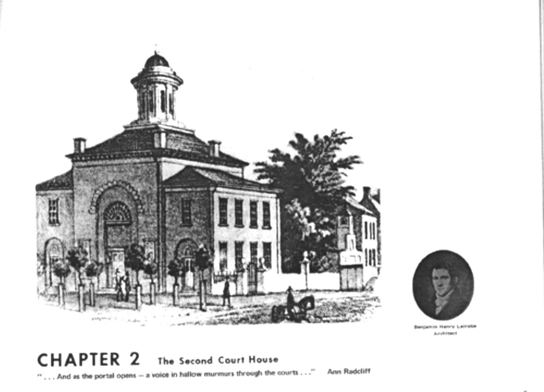

Asphitact

## **CHAPTER 2** The Second Court House

 $''$ ... And as the portal opens - a voice in hallow murmurs through the courts ..." Ann Radcliff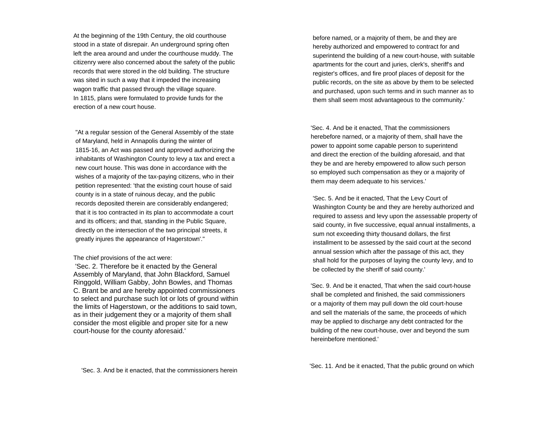At the beginning of the 19th Century, the old courthouse stood in a state of disrepair. An underground spring often left the area around and under the courthouse muddy. The citizenry were also concerned about the safety of the public records that were stored in the old building. The structure was sited in such a way that it impeded the increasing wagon traffic that passed through the village square. In 1815, plans were formulated to provide funds for the erection of a new court house.

"At a regular session of the General Assembly of the state of Maryland, held in Annapolis during the winter of 1815-16, an Act was passed and approved authorizing the inhabitants of Washington County to levy a tax and erect a new court house. This was done in accordance with thewishes of a majority of the tax-paying citizens, who in their petition represented: 'that the existing court house of said county is in a state of ruinous decay, and the public records deposited therein are considerably endangered; that it is too contracted in its plan to accommodate a court and its officers; and that, standing in the Public Square, directly on the intersection of the two principal streets, it greatly injures the appearance of Hagerstown'."

The chief provisions of the act were:

 'Sec. 2. Therefore be it enacted by the General Assembly of Maryland, that John Blackford, Samuel Ringgold, William Gabby, John Bowles, and Thomas C. Brant be and are hereby appointed commissioners to select and purchase such lot or lots of ground within the limits of Hagerstown, or the additions to said town, as in their judgement they or a majority of them shall consider the most eligible and proper site for a new court-house for the county aforesaid.'

before named, or a majority of them, be and they are hereby authorized and empowered to contract for and superintend the building of a new court-house, with suitable apartments for the court and juries, clerk's, sheriff's and register's offices, and fire proof places of deposit for the public records, on the site as above by them to be selected and purchased, upon such terms and in such manner as to them shall seem most advantageous to the community.'

'Sec. 4. And be it enacted, That the commissioners herebefore narned, or a majority of them, shall have the power to appoint some capable person to superintend and direct the erection of the building aforesaid, and that they be and are hereby empowered to allow such person so employed such compensation as they or a majority of them may deem adequate to his services.'

'Sec. 5. And be it enacted, That the Levy Court of Washington County be and they are hereby authorized and required to assess and levy upon the assessable property of said county, in five successive, equal annual installments, a sum not exceeding thirty thousand dollars, the first installment to be assessed by the said court at the second annual session which after the passage of this act, they shall hold for the purposes of laying the county levy, and to be collected by the sheriff of said county.'

'Sec. 9. And be it enacted, That when the said court-house shall be completed and finished, the said commissioners or a majority of them may pull down the old court-house and sell the materials of the same, the proceeds of which may be applied to discharge any debt contracted for the building of the new court-house, over and beyond the sum hereinbefore mentioned.'

'Sec. 3. And be it enacted, that the commissioners herein 'Sec. 11. And be it enacted, That the public ground on which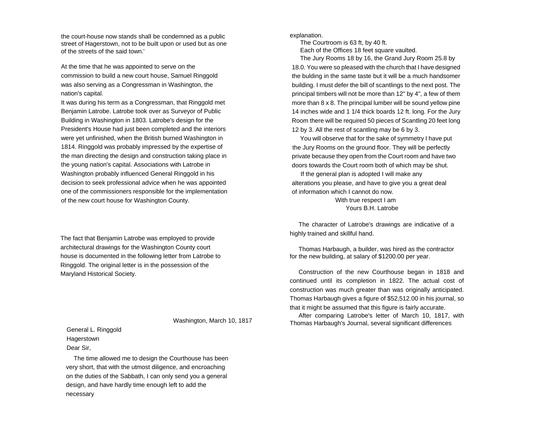the court-house now stands shalI be condemned as a public street of Hagerstown, not to be built upon or used but as one of the streets of the said town.'

At the time that he was appointed to serve on the commission to build a new court house, Samuel Ringgold was also serving as a Congressman in Washington, the nation's capital.

It was during his term as a Congressman, that Ringgold met Benjamin Latrobe. Latrobe took over as Surveyor of Public Building in Washington in 1803. Latrobe's design for the President's House had just been completed and the interiors were yet unfinished, when the British burned Washington in 1814. Ringgold was probably impressed by the expertise of the man directing the design and construction taking place in the young nation's capital. Associations with Latrobe in Washington probably influenced General Ringgold in his decision to seek professional advice when he was appointed one of the commissioners responsible for the implementation of the new court house for Washington County.

The fact that Benjamin Latrobe was employed to provide architectural drawings for the Washington County court house is documented in the following letter from Latrobe to Ringgold. The original letter is in the possession of the Maryland Historical Society.

Washington, March 10, 1817

General L. Ringgold Hagerstown Dear Sir,

The time allowed me to design the Courthouse has been very short, that with the utmost diligence, and encroaching on the duties of the Sabbath, I can only send you a general design, and have hardly time enough left to add the necessary

explanation.

 The Courtroom is 63 ft, by 40 ft. Each of the Offices 18 feet square vaulted.

The Jury Rooms 18 by 16, the Grand Jury Room 25.8 by 18.0. You were so pleased with the church that I have designed the bulding in the same taste but it will be a much handsomer building. I must defer the bill of scantlings to the next post. The principal timbers will not be more than 12" by 4", a few of them more than 8 x 8. The principal lumber will be sound yellow pine 14 inches wide and 1 1/4 thick boards 12 ft. long. For the Jury Room there will be required 50 pieces of Scantling 20 feet long 12 by 3. All the rest of scantling may be 6 by 3.

You will observe that for the sake of symmetry I have put the Jury Rooms on the ground floor. They will be perfectly private because they open from the Court room and have two doors towards the Court room both of which may be shut.

If the general plan is adopted I will make any alterations you please, and have to give you a great deal of information which I cannot do now. With true respect I am Yours B.H. Latrobe

The character of Latrobe's drawings are indicative of a highly trained and skillful hand.

Thomas Harbaugh, a builder, was hired as the contractor for the new building, at salary of \$1200.00 per year.

Construction of the new Courthouse began in 1818 and continued until its completion in 1822. The actual cost of construction was much greater than was originally anticipated. Thomas Harbaugh gives a figure of \$52,512.00 in his journal, so that it might be assumed that this figure is fairly accurate.

After comparing Latrobe's letter of March 10, 1817, with Thomas Harbaugh's Journal, several significant differences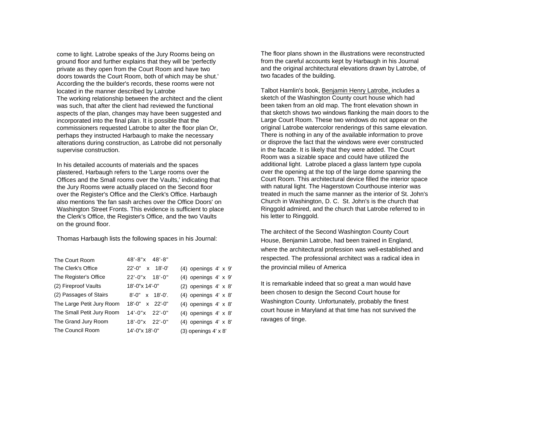come to light. Latrobe speaks of the Jury Rooms being on ground floor and further explains that they will be 'perfectly private as they open from the Court Room and have two doors towards the Court Room, both of which may be shut.' According the the builder's records, these rooms were not located in the manner described by Latrobe The working relationship between the architect and the client was such, that after the client had reviewed the functional aspects of the plan, changes may have been suggested and incorporated into the final plan. It is possible that the commissioners requested Latrobe to alter the floor plan Or, perhaps they instructed Harbaugh to make the necessary alterations during construction, as Latrobe did not personally supervise construction.

In his detailed accounts of materials and the spaces plastered, Harbaugh refers to the 'Large rooms over the Offices and the Small rooms over the Vaults,' indicating that the Jury Rooms were actually placed on the Second floor over the Register's Office and the Clerk's Office. Harbaugh also mentions 'the fan sash arches over the Office Doors' onWashington Street Fronts. This evidence is sufficient to place the Clerk's Office, the Register's Office, and the two Vaults on the ground floor.

Thomas Harbaugh lists the following spaces in his Journal:

| The Court Room            | 48'-8"x 48'-8"        |                               |
|---------------------------|-----------------------|-------------------------------|
| The Clerk's Office        | 22'-0" x 18'-0"       | $(4)$ openings $4' \times 9'$ |
| The Register's Office     | $22'-0''x$ 18'-0"     | $(4)$ openings $4' \times 9'$ |
| (2) Fireproof Vaults      | 18'-0"x 14'-0"        | (2) openings $4' \times 8'$   |
| (2) Passages of Stairs    | $8'-0''$ x $18'-0'$ . | $(4)$ openings $4' \times 8'$ |
| The Large Petit Jury Room | $18'-0''$ x $22'-0''$ | $(4)$ openings $4' \times 8'$ |
| The Small Petit Jury Room | $14'-0''x$ 22'-0"     | $(4)$ openings $4' \times 8'$ |
| The Grand Jury Room       | $18'-0''x$ 22'-0"     | $(4)$ openings $4' \times 8'$ |
| The Council Room          | 14'-0"x 18'-0"        | $(3)$ openings $4' \times 8'$ |

The floor plans shown in the illustrations were reconstructed from the careful accounts kept by Harbaugh in his Journal and the original architectural elevations drawn by Latrobe, of two facades of the building.

Talbot Hamlin's book, Benjamin Henry Latrobe, includes a sketch of the Washington County court house which had been taken from an old map. The front elevation shown in that sketch shows two windows flanking the main doors to the Large Court Room. These two windows do not appear on the original Latrobe watercolor renderings of this same elevation. There is nothing in any of the available information to prove or disprove the fact that the windows were ever constructed in the facade. It is likely that they were added. The Court Room was a sizable space and could have utilized the additional light. Latrobe placed a glass lantern type cupola over the opening at the top of the large dome spanning the Court Room. This architectural device filled the interior space with natural light. The Hagerstown Courthouse interior was treated in much the same manner as the interior of St. John'sChurch in Washington, D. C. St. John's is the church that Ringgold admired, and the church that Latrobe referred to in his letter to Ringgold.

The architect of the Second Washington County Court House, Benjamin Latrobe, had been trained in England, where the architectural profession was well-established and respected. The professional architect was a radical idea in the provincial milieu of America

It is remarkable indeed that so great a man would have been chosen to design the Second Court house for Washington County. Unfortunately, probably the finest court house in Maryland at that time has not survived the ravages of tinge.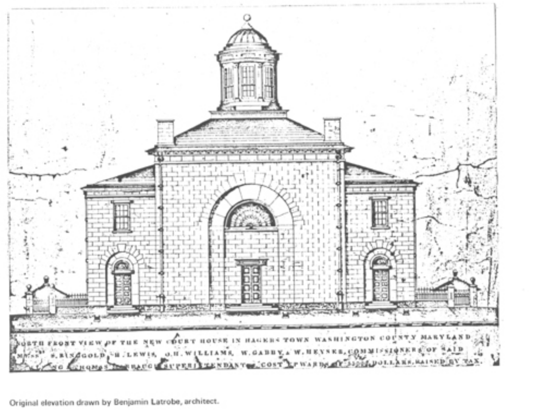

Original elevation drawn by Benjamin Latrobe, architect.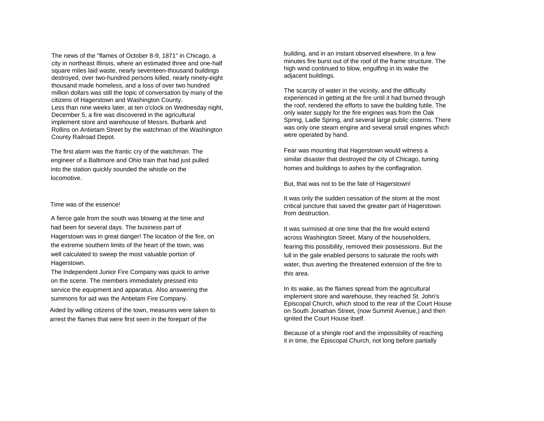The news of the "flames of October 8-9, 1871" in Chicago, a city in northeast Illinois, where an estimated three and one-half square miles laid waste, nearly seventeen-thousand buildings destroyed, over two-hundred persons killed, nearly ninety-eight thousand made homeless, and a loss of over two hundred million dollars was still the topic of conversation by many of the citizens of Hagerstown and Washington County. Less than nine weeks later, at ten o'clock on Wednesday night, December 5, a fire was discovered in the agricultural implement store and warehouse of Messrs. Burbank and Rollins on Antietam Street by the watchman of the Washington County Railroad Depot.

The first alarm was the frantic cry of the watchman. The engineer of a Baltimore and Ohio train that had just pulled into the station quickly sounded the whistle on the locomotive.

## Time was of the essence!

A fierce gale from the south was blowing at the time and had been for several days. The business part of Hagerstown was in great danger! The location of the fire, on the extreme southern limits of the heart of the town, was well calculated to sweep the most valuable portion of Hagerstown.

The Independent Junior Fire Company was quick to arrive on the scene. The members immediately pressed into service the equipment and apparatus. Also answering the summons for aid was the Antietam Fire Company.

Aided by willing citizens of the town, measures were taken to arrest the flames that were first seen in the forepart of the

building, and in an instant observed elsewhere. In a few minutes fire burst out of the roof of the frame structure. Thehigh wind continued to blow, engulfing in its wake the adjacent buildings.

The scarcity of water in the vicinity, and the difficulty experienced in getting at the fire until it had burned through the roof, rendered the efforts to save the building futile. The only water supply for the fire engines was from the Oak Spring, Ladle Spring, and several large public cisterns. There was only one steam engine and several small engines which were operated by hand.

Fear was mounting that Hagerstown would witness a similar disaster that destroyed the city of Chicago, tuning homes and buildings to ashes by the conflagration.

But, that was not to be the fate of Hagerstown!

It was only the sudden cessation of the storm at the most critical juncture that saved the greater part of Hagerstown from destruction.

It was surmised at one time that the fire would extendacross Washington Street. Many of the householders, fearing this possibility, removed their possessions. But the lull in the gale enabled persons to saturate the roofs with water, thus averting the threatened extension of the fire to this area.

In its wake, as the flames spread from the agricultural implement store and warehouse, they reached St. John's Episcopal Church, which stood to the rear of the Court House on South Jonathan Street, (now Summit Avenue,) and then ignited the Court House itself.

Because of a shingle roof and the impossibility of reaching it in time, the Episcopal Church, not long before partially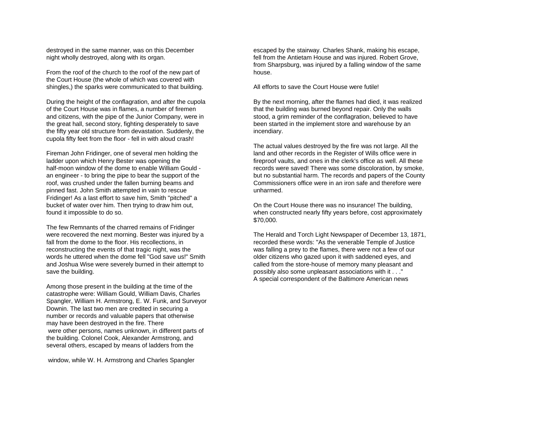destroyed in the same manner, was on this December night wholly destroyed, along with its organ.

From the roof of the church to the roof of the new part of the Court House (the whole of which was covered with shingles,) the sparks were communicated to that building.

During the height of the conflagration, and after the cupola of the Court House was in flames, a number of firemen and citizens, with the pipe of the Junior Company, were in the great hall, second story, fighting desperately to save the fifty year old structure from devastation. Suddenly, the cupola fifty feet from the floor - fell in with aloud crash!

Fireman John Fridinger, one of several men holding the ladder upon which Henry Bester was opening the half-moon window of the dome to enable William Gould an engineer - to bring the pipe to bear the support of the roof, was crushed under the fallen burning beams and pinned fast. John Smith attempted in vain to rescue Fridinger! As a last effort to save him, Smith "pitched" a bucket of water over him. Then trying to draw him out, found it impossible to do so.

The few Remnants of the charred remains of Fridinger were recovered the next morning. Bester was injured by a fall from the dome to the floor. His recollections, in reconstructing the events of that tragic night, was the words he uttered when the dome fell "God save us!" Smithand Joshua Wise were severely burned in their attempt to save the building.

Among those present in the building at the time of the catastrophe were: William Gould, William Davis, Charles Spangler, William H. Armstrong, E. W. Funk, and Surveyor Downin. The last two men are credited in securing a number or records and valuable papers that otherwise may have been destroyed in the fire. There were other persons, names unknown, in different parts of the building. Colonel Cook, Alexander Armstrong, and several others, escaped by means of ladders from the

window, while W. H. Armstrong and Charles Spangler

escaped by the stairway. Charles Shank, making his escape, fell from the Antietam House and was injured. Robert Grove, from Sharpsburg, was injured by a falling window of the same house.

All efforts to save the Court House were futile!

By the next morning, after the flames had died, it was realized that the building was burned beyond repair. Only the walls stood, a grim reminder of the conflagration, believed to have been started in the implement store and warehouse by an incendiary.

The actual values destroyed by the fire was not large. All the land and other records in the Register of Wills office were in fireproof vaults, and ones in the clerk's office as well. All these records were saved! There was some discoloration, by smoke, but no substantial harm. The records and papers of the County Commissioners office were in an iron safe and therefore wereunharmed.

On the Court House there was no insurance! The building, when constructed nearly fifty years before, cost approximately \$70,000.

The Herald and Torch Light Newspaper of December 13, 1871, recorded these words: "As the venerable Temple of Justice was falling a prey to the flames, there were not a few of our older citizens who gazed upon it with saddened eyes, and called from the store-house of memory many pleasant and possibly also some unpleasant associations with it . . ." A special correspondent of the Baltimore American news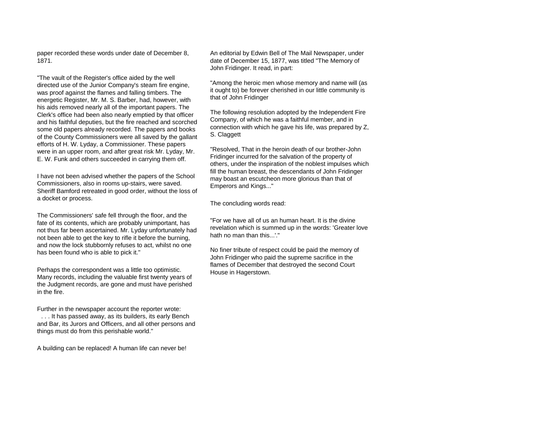paper recorded these words under date of December 8, 1871.

"The vault of the Register's office aided by the well directed use of the Junior Company's steam fire engine, was proof against the flames and falling timbers. The energetic Register, Mr. M. S. Barber, had, however, with his aids removed nearly all of the important papers. The Clerk's office had been also nearly emptied by that officer and his faithful deputies, but the fire reached and scorched some old papers already recorded. The papers and books of the County Commissioners were all saved by the gallant efforts of H. W. Lyday, a Commissioner. These papers were in an upper room, and after great risk Mr. Lyday, Mr. E. W. Funk and others succeeded in carrying them off.

I have not been advised whether the papers of the School Commissioners, also in rooms up-stairs, were saved. Sheriff Bamford retreated in good order, without the loss of a docket or process.

The Commissioners' safe fell through the floor, and the fate of its contents, which are probably unimportant, has not thus far been ascertained. Mr. Lyday unfortunately had not been able to get the key to rifle it before the burning, and now the lock stubbornly refuses to act, whilst no one has been found who is able to pick it."

Perhaps the correspondent was a little too optimistic. Many records, including the valuable first twenty years of the Judgment records, are gone and must have perished in the fire.

Further in the newspaper account the reporter wrote: . . . It has passed away, as its builders, its early Bench and Bar, its Jurors and Officers, and all other persons and things must do from this perishable world."

A building can be replaced! A human life can never be!

An editorial by Edwin Bell of The Mail Newspaper, under date of December 15, 1877, was titled "The Memory of John Fridinger. It read, in part:

"Among the heroic men whose memory and name will (as it ought to) be forever cherished in our little community is that of John Fridinger

The following resolution adopted by the Independent Fire Company, of which he was a faithful member, and in connection with which he gave his life, was prepared by Z, S. Claggett

"Resolved, That in the heroin death of our brother-John Fridinger incurred for the salvation of the property of others, under the inspiration of the noblest impulses which fill the human breast, the descendants of John Fridinger may boast an escutcheon more glorious than that of Emperors and Kings..."

The concluding words read:

"For we have all of us an human heart. It is the divine revelation which is summed up in the words: 'Greater love hath no man than this...'."

No finer tribute of respect could be paid the memory of John Fridinger who paid the supreme sacrifice in the flames of December that destroyed the second Court House in Hagerstown.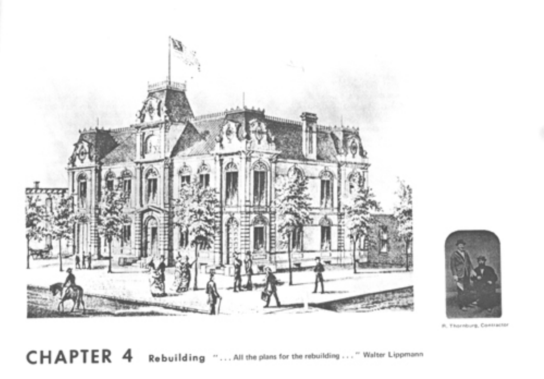



R. Thornburg, Contractor

**CHAPTER 4** Rebuilding "... All the plans for the rebuilding ... " Walter Lippmann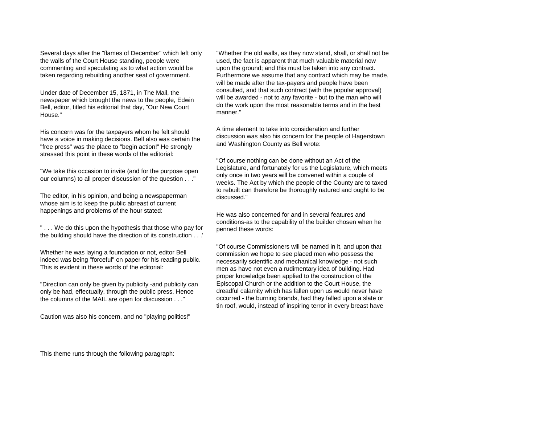Several days after the "flames of December" which left only the walls of the Court House standing, people were commenting and speculating as to what action would be taken regarding rebuilding another seat of government.

Under date of December 15, 1871, in The Mail, the newspaper which brought the news to the people, Edwin Bell, editor, titled his editorial that day, "Our New Court House."

His concern was for the taxpayers whom he felt should have a voice in making decisions. Bell also was certain the "free press" was the place to "begin action!" He strongly stressed this point in these words of the editorial:

"We take this occasion to invite (and for the purpose open our columns) to all proper discussion of the question . . ."

The editor, in his opinion, and being a newspaperman whose aim is to keep the public abreast of current happenings and problems of the hour stated:

" . . . We do this upon the hypothesis that those who pay for the building should have the direction of its construction . . .'

Whether he was laying a foundation or not, editor Bell indeed was being "forceful" on paper for his reading public. This is evident in these words of the editorial:

"Direction can only be given by publicity -and publicity can only be had, effectually, through the public press. Hence the columns of the MAIL are open for discussion . . ."

Caution was also his concern, and no "playing politics!"

"Whether the old walls, as they now stand, shall, or shall not be used, the fact is apparent that much valuable material now upon the ground; and this must be taken into any contract. Furthermore we assume that any contract which may be made, will be made after the tax-payers and people have been consulted, and that such contract (with the popular approval) will be awarded - not to any favorite - but to the man who will do the work upon the most reasonable terms and in the best manner."

A time element to take into consideration and furtherdiscussion was also his concern for the people of Hagerstown and Washington County as Bell wrote:

"Of course nothing can be done without an Act of the Legislature, and fortunately for us the Legislature, which meets only once in two years will be convened within a couple of weeks. The Act by which the people of the County are to taxed to rebuilt can therefore be thoroughly natured and ought to be discussed."

He was also concerned for and in several features andconditions-as to the capability of the builder chosen when he penned these words:

"Of course Commissioners will be named in it, and upon that commission we hope to see placed men who possess the necessarily scientific and mechanical knowledge - not such men as have not even a rudimentary idea of building. Had proper knowledge been applied to the construction of the Episcopal Church or the addition to the Court House, the dreadful calamity which has fallen upon us would never have occurred - the burning brands, had they falled upon a slate or tin roof, would, instead of inspiring terror in every breast have

This theme runs through the following paragraph: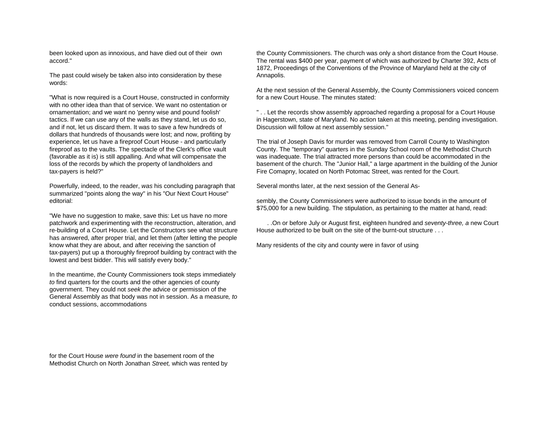been looked upon as innoxious, and have died out of their own accord."

The past could wisely be taken also into consideration by these words:

"What is now required is a Court House, constructed in conformity with no other idea than that of service. We want no ostentation orornamentation; and we want no 'penny wise and pound foolish' tactics. If we can use any of the walls as they stand, let us do so, and if not, let us discard them. It was to save a few hundreds of dollars that hundreds of thousands were lost; and now, profiting by experience, let us have a fireproof Court House - and particularly fireproof as to the vaults. The spectacle of the Clerk's office vault (favorable as it is) is still appalling. And what will compensate the loss of the records by which the property of landholders and tax-payers is held?"

Powerfully, indeed, to the reader, *was* his concluding paragraph that summarized "points along the way" in his "Our Next Court House" editorial:

"We have no suggestion to make, save this: Let us have no more patchwork and experimenting with the reconstruction, alteration, and re-building of a Court House. Let the Constructors see what structure has answered, after proper trial, and let them (after letting the people know what they are about, and after receiving the sanction of tax-payers) put up a thoroughly fireproof building by contract with the lowest and best bidder. This will satisfy every body."

In the meantime, *the* County Commissioners took steps immediately *to* find quarters for the courts and the other agencies of county government. They could not *seek the* advice or permission of the General Assembly as that body was not in session. As a measure*, to* conduct sessions, accommodations

for the Court House *were found* in the basement room of theMethodist Church on North Jonathan *Street,* which was rented by the County Commissioners. The church was only a short distance from the Court House. The rental was \$400 per year, payment of which was authorized by Charter 392, Acts of 1872, Proceedings of the Conventions of the Province of Maryland held at the city of Annapolis.

At the next session of the General Assembly, the County Commissioners voiced concern for a new Court House. The minutes stated:

" . . Let the records show assembly approached regarding a proposal for a Court House in Hagerstown, state of Maryland. No action taken at this meeting, pending investigation. Discussion will follow at next assembly session."

The trial of Joseph Davis for murder was removed from Carroll County to Washington County. The "temporary" quarters in the Sunday School room of the Methodist Church was inadequate. The trial attracted more persons than could be accommodated in the basement of the church. The "Junior Hall," a large apartment in the building of the Junior Fire Comapny, located on North Potomac Street, was rented for the Court.

Several months later, at the next session of the General As-

sembly, the County Commissioners were authorized to issue bonds in the amount of \$75,000 for a new building. The stipulation, as pertaining to the matter at hand, read:

. .On or before July or August first, eighteen hundred and *seventy-three, a* new Court House authorized to be built on the site of the burnt-out structure . . .

Many residents of the city and county were in favor of using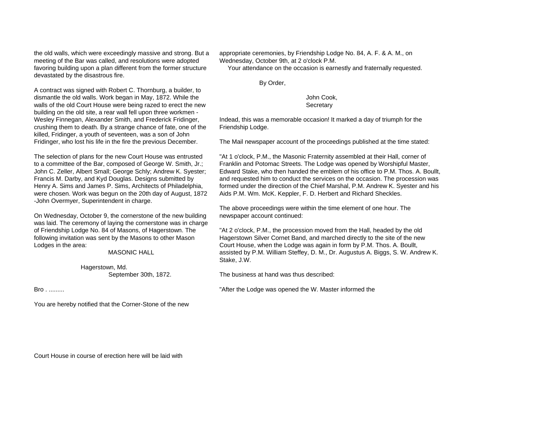the old walls, which were exceedingly massive and strong. But a meeting of the Bar was called, and resolutions were adopted favoring building upon a plan different from the former structure devastated by the disastrous fire.

A contract was signed with Robert C. Thornburg, a builder, to dismantle the old walls. Work began in May, 1872. While the walls of the old Court House were being razed to erect the new building on the old site, a rear wall fell upon three workmen - Wesley Finnegan, Alexander Smith, and Frederick Fridinger, crushing them to death. By a strange chance of fate, one of the killed, Fridinger, a youth of seventeen, was a son of John Fridinger, who lost his life in the fire the previous December.

The selection of plans for the new Court House was entrusted to a committee of the Bar, composed of George W. Smith, Jr.; John C. Zeller, Albert Small; George Schly; Andrew K. Syester; Francis M. Darby, and Kyd Douglas. Designs submitted by Henry A. Sims and James P. Sims, Architects of Philadelphia, were chosen. Work was begun on the 20th day of August, 1872 -John Overmyer, Superintendent in charge.

On Wednesday, October 9, the cornerstone of the new building was laid. The ceremony of laying the cornerstone was in charge of Friendship Lodge No. 84 of Masons, of Hagerstown. The following invitation was sent by the Masons to other Mason Lodges in the area:

MASONIC HALL

 Hagerstown, Md. September 30th, 1872.

Bro . .........

You are hereby notified that the Corner-Stone of the new

appropriate ceremonies, by Friendship Lodge No. 84, A. F. & A. M., on Wednesday, October 9th, at 2 o'clock P.M.

Your attendance on the occasion is earnestly and fraternally requested.

By Order,

 John Cook, **Secretary** 

Indead, this was a memorable occasion! It marked a day of triumph for the Friendship Lodge.

The Mail newspaper account of the proceedings published at the time stated:

"At 1 o'clock, P.M., the Masonic Fraternity assembled at their Hall, corner of Franklin and Potomac Streets. The Lodge was opened by Worshipful Master, Edward Stake, who then handed the emblem of his office to P.M. Thos. A. Boullt, and requested him to conduct the services on the occasion. The procession was formed under the direction of the Chief Marshal, P.M. Andrew K. Syester and his Aids P.M. Wm. McK. Keppler, F. D. Herbert and Richard Sheckles.

The above proceedings were within the time element of one hour. The newspaper account continued:

"At 2 o'clock, P.M., the procession moved from the Hall, headed by the old Hagerstown Silver Cornet Band, and marched directly to the site of the new Court House, when the Lodge was again in form by P.M. Thos. A. Boullt, assisted by P.M. William Steffey, D. M., Dr. Augustus A. Biggs, S. W. Andrew K. Stake, J.W.

The business at hand was thus described:

"After the Lodge was opened the W. Master informed the

Court House in course of erection here will be laid with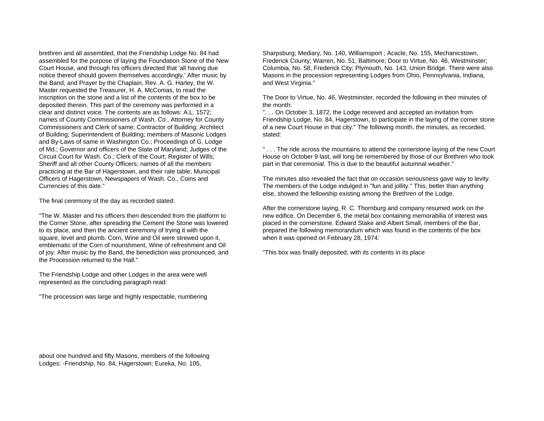brethren and all assembled, that the Friendship Lodge No. 84 had assembled for the purpose of laying the Foundation Stone of the New Court House, and through his officers directed that 'all having due notice thereof should govern themselves accordingly.' After music by the Band, and Prayer by the Chaplain, Rev. A. G. Harley, the W. Master requested the Treasurer, H. A. McComas, to read the inscription on the stone and a list of the contents of the box to be deposited therein. This part of the ceremony was performed in a clear and distinct voice. The contents are as follows: A.L. 1572; names of County Commissioners of Wash. Co., Attorney for County Commissioners and Clerk of same; Contractor of Building; Architect of Building; Superintendent of Building; members of Masonic Lodges and By-Laws of same in Washington Co.; Proceedings of G. Lodge of Md.; Governor and officers of the State of Maryland; Judges of the Circuit Court for Wash. Co.; Clerk of the Court; Register of Wills; Sheriff and all other County Officers; names of all the members practicing at the Bar of Hagerstown, and their rate table; Municipal Officers of Hagerstown, Newspapers of Wash. Co., Coins and Currencies of this date."

The final ceremony of the day as recorded stated:

"The W. Master and his officers then descended from the platform to the Corner Stone, after spreading the Cement the Stone was lowered to its place, and then the ancient ceremony of trying it with the square, level and plumb. Corn, Wine and Oil were strewed upon it, emblematic of the Corn of nourishment, Wine of refreshment and Oil of joy. After music by the Band, the benediction was pronounced, and the Procession returned to the Hall."

The Friendship Lodge and other Lodges in the area were well represented as the concluding paragraph read:

"The procession was large and highly respectable, numbering

Sharpsburg; Mediary, No. 140, Williamsport ; Acacle, No. 155, Mechanicstown, Frederick County; Warren, No. 51, Baltimore; Door to Virtue, No. 46, Westminster; Columbia, No. 58, Frederick City; Plymouth, No. 143, Union Bridge. There were also Masons in the procession representing Lodges from Ohio, Pennsylvania, Indiana, and West Virginia."

The Door to Virtue, No. 46, Westminster, recorded the following in their minutes of the month:

". . . On October 3, 1872, the Lodge received and accepted an invitation from Friendship Lodge, No. 84, Hagerstown, to participate in the laying of the corner stone of a new Court House in that city." The following month, the minutes, as recorded, stated:

"... The ride across the mountains to attend the cornerstone laying of the new Court House on October 9 last, will long be remembered by those of our Brethren who took part in that ceremonial. This is due to the beautiful autumnal weather."

The minutes also revealed the fact that on occasion seriousness gave way to levity. The members of the Lodge indulged in "fun and jollity." This, better than anything else, showed the fellowship existing among the Brethren of the Lodge.

After the cornerstone laying, R. C. Thornburg and company resumed work on the new edifice. On December 6, the metal box containing memorabilia of interest was placed in the cornerstone. Edward Stake and Albert Small, members of the Bar, prepared the following memorandum which was found in the contents of the box when it was opened on February 28, 1974:

"This box was finally deposited, with its contents in its place

about one hundred and fifty Masons, members of the following Lodges: -Friendship, No. 84, Hagerstown; Eureka, No. 105,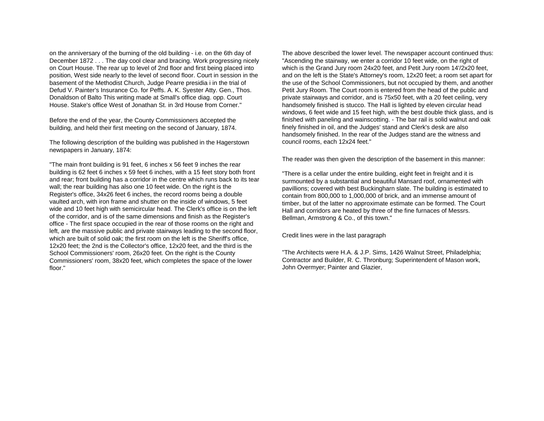on the anniversary of the burning of the old building - i.e. on the 6th day of December 1872 . . . The day cool clear and bracing. Work progressing nicely on Court House. The rear up to level of 2nd floor and first being placed into position, West side nearly to the level of second floor. Court in session in the basement of the Methodist Church, Judge Pearre presidia i in the trial of Defud V. Painter's Insurance Co. for Peffs. A. K. Syester Atty. Gen., Thos. Donaldson of Balto This writing made at Small's office diag. opp. Court House. Stake's office West of Jonathan St. in 3rd House from Corner."

Before the end of the year, the County Commissioners accepted the building, and held their first meeting on the second of January, 1874.

The following description of the building was published in the Hagerstown newspapers in January, 1874:

"The main front building is 91 feet, 6 inches x 56 feet 9 inches the rear building is 62 feet 6 inches x 59 feet 6 inches, with a 15 feet story both front and rear; front building has a corridor in the centre which runs back to its tear wall; the rear building has also one 10 feet wide. On the right is the Register's office, 34x26 feet 6 inches, the record rooms being a double vaulted arch, with iron frame and shutter on the inside of windows, 5 feet wide and 10 feet high with semicircular head. The Clerk's office is on the left of the corridor, and is of the same dimensions and finish as the Register's office - The first space occupied in the rear of those rooms on the right and left, are the massive public and private stairways leading to the second floor, which are built of solid oak; the first room on the left is the Sheriff's office, 12x20 feet; the 2nd is the Collector's office, 12x20 feet, and the third is the School Commissioners' room, 26x20 feet. On the right is the County Commissioners' room, 38x20 feet, which completes the space of the lower floor."

The above described the lower level. The newspaper account continued thus: "Ascending the stairway, we enter a corridor 10 feet wide, on the right of which is the Grand Jury room 24x20 feet, and Petit Jury room 14'/2x20 feet, and on the left is the State's Attorney's room, 12x20 feet; a room set apart for the use of the School Commissioners, but not occupied by them, and another Petit Jury Room. The Court room is entered from the head of the public and private stairways and corridor, and is 75x50 feet, with a 20 feet ceiling, very handsomely finished is stucco. The Hall is lighted by eleven circular head windows, 6 feet wide and 15 feet high, with the best double thick glass, and is finished with paneling and wainscotting. - The bar rail is solid walnut and oak finely finished in oil, and the Judges' stand and Clerk's desk are also handsomely finished. In the rear of the Judges stand are the witness and council rooms, each 12x24 feet."

The reader was then given the description of the basement in this manner:

"There is a cellar under the entire building, eight feet in freight and it is surmounted by a substantial and beautiful Mansard roof, ornamented with pavillions; covered with best Buckingharn slate. The building is estimated to contain from 800,000 to 1,000,000 of brick, and an immense amount of timber, but of the latter no approximate estimate can be formed. The Court Hall and corridors are heated by three of the fine furnaces of Messrs. Bellman, Armstrong & Co., of this town."

Credit lines were in the last paragraph

"The Architects were H.A. & J.P. Sims, 1426 Walnut Street, Philadelphia; Contractor and Builder, R. C. Thronburg; Superintendent of Mason work, John Overmyer; Painter and Glazier,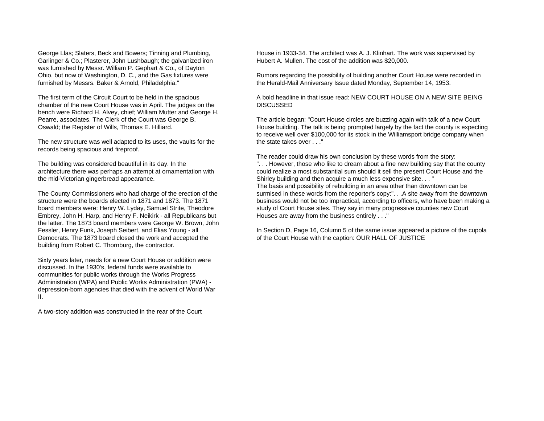George Llas; Slaters, Beck and Bowers; Tinning and Plumbing, Garlinger & Co.; Plasterer, John Lushbaugh; the galvanized iron was furnished by Messr. William P. Gephart & Co., of Dayton Ohio, but now of Washington, D. C., and the Gas fixtures were furnished by Messrs. Baker & Arnold, Philadelphia."

The first term of the Circuit Court to be held in the spacious chamber of the new Court House was in April. The judges on the bench were Richard H. Alvey, chief; William Mutter and George H. Pearre, associates. The Clerk of the Court was George B. Oswald; the Register of Wills, Thomas E. Hilliard.

The new structure was well adapted to its uses, the vaults for the records being spacious and fireproof.

The building was considered beautiful in its day. In the architecture there was perhaps an attempt at ornamentation with the mid-Victorian gingerbread appearance.

The County Commissioners who had charge of the erection of the structure were the boards elected in 1871 and 1873. The 1871board members were: Henry W. Lyday, Samuel Strite, Theodore Embrey, John H. Harp, and Henry F. Neikirk - all Republicans but the latter. The 1873 board members were George W. Brown, John Fessler, Henry Funk, Joseph Seibert, and Elias Young - all Democrats. The 1873 board closed the work and accepted the building from Robert C. Thornburg, the contractor.

Sixty years later, needs for a new Court House or addition were discussed. In the 1930's, federal funds were available to communities for public works through the Works Progress Administration (WPA) and Public Works Administration (PWA) depression-born agencies that died with the advent of World War II.

A two-story addition was constructed in the rear of the Court

House in 1933-34. The architect was A. J. Klinhart. The work was supervised by Hubert A. Mullen. The cost of the addition was \$20,000.

Rumors regarding the possibility of building another Court House were recorded in the Herald-Mail Anniversary Issue dated Monday, September 14, 1953.

A bold headline in that issue read: NEW COURT HOUSE ON A NEW SITE BEING**DISCUSSED** 

The article began: "Court House circles are buzzing again with talk of a new Court House building. The talk is being prompted largely by the fact the county is expecting to receive well over \$100,000 for its stock in the Williamsport bridge company when the state takes over "

The reader could draw his own conclusion by these words from the story: ". . . However, those who like to dream about a fine new building say that the county could realize a most substantial sum should it sell the present Court House and the Shirley building and then acquire a much less expensive site. . . " The basis and possibility of rebuilding in an area other than downtown can be surmised in these words from the reporter's copy:". . .A site away from the downtown business would not be too impractical, according to officers, who have been making a study of Court House sites. They say in many progressive counties new Court Houses are away from the business entirely . . ."

In Section D, Page 16, Column 5 of the same issue appeared a picture of the cupola of the Court House with the caption: OUR HALL OF JUSTICE